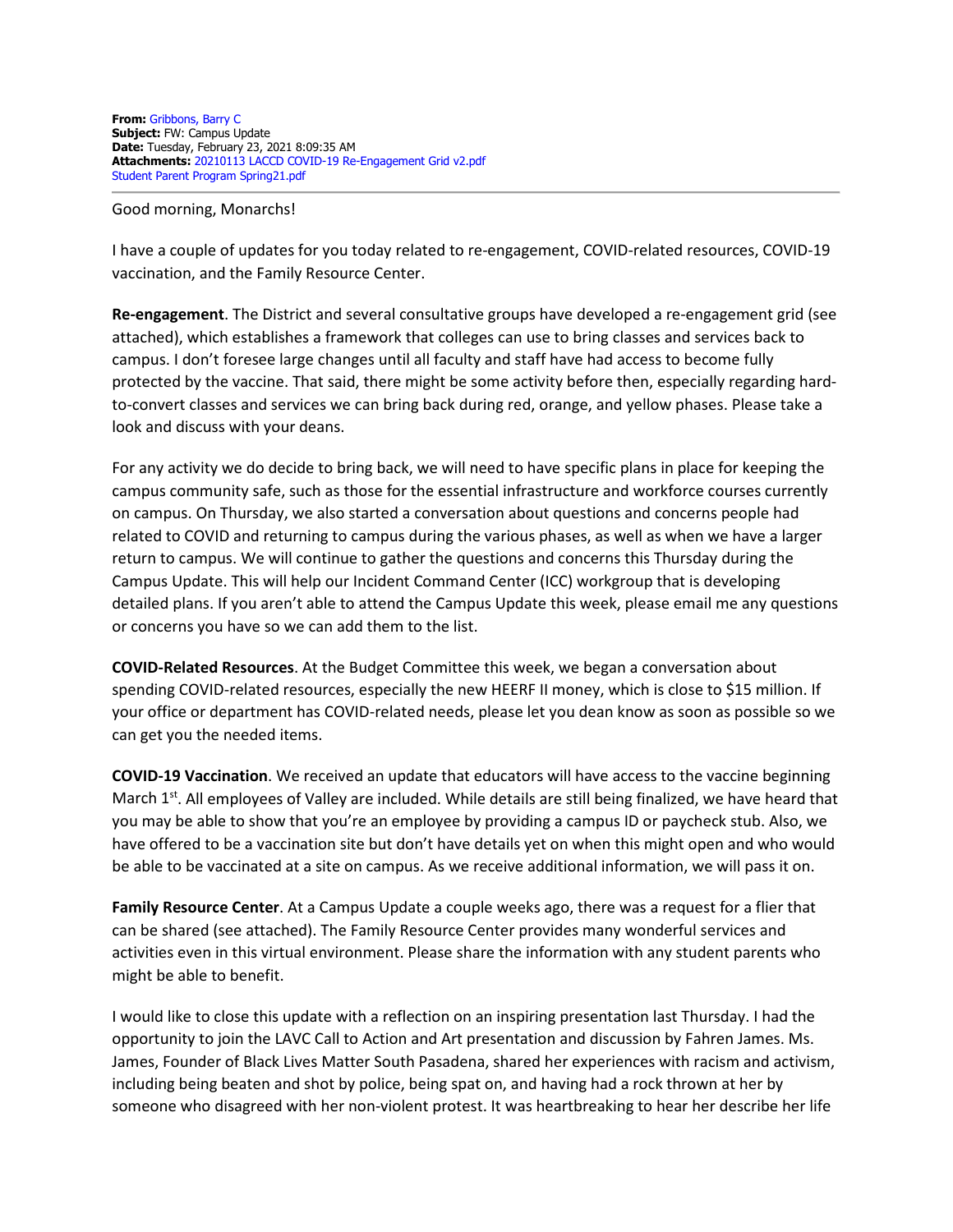**From:** Gribbons, Barry C **Subject:** FW: Campus Update **Date:** Tuesday, February 23, 2021 8:09:35 AM **Attachments:** 20210113 LACCD COVID-19 Re-Engagement Grid v2.pdf Student Parent Program Spring21.pdf

Good morning, Monarchs!

I have a couple of updates for you today related to re-engagement, COVID-related resources, COVID-19 vaccination, and the Family Resource Center.

**Re-engagement**. The District and several consultative groups have developed a re-engagement grid (see attached), which establishes a framework that colleges can use to bring classes and services back to campus. I don't foresee large changes until all faculty and staff have had access to become fully protected by the vaccine. That said, there might be some activity before then, especially regarding hardto-convert classes and services we can bring back during red, orange, and yellow phases. Please take a look and discuss with your deans.

For any activity we do decide to bring back, we will need to have specific plans in place for keeping the campus community safe, such as those for the essential infrastructure and workforce courses currently on campus. On Thursday, we also started a conversation about questions and concerns people had related to COVID and returning to campus during the various phases, as well as when we have a larger return to campus. We will continue to gather the questions and concerns this Thursday during the Campus Update. This will help our Incident Command Center (ICC) workgroup that is developing detailed plans. If you aren't able to attend the Campus Update this week, please email me any questions or concerns you have so we can add them to the list.

**COVID-Related Resources**. At the Budget Committee this week, we began a conversation about spending COVID-related resources, especially the new HEERF II money, which is close to \$15 million. If your office or department has COVID-related needs, please let you dean know as soon as possible so we can get you the needed items.

**COVID-19 Vaccination**. We received an update that educators will have access to the vaccine beginning March 1<sup>st</sup>. All employees of Valley are included. While details are still being finalized, we have heard that you may be able to show that you're an employee by providing a campus ID or paycheck stub. Also, we have offered to be a vaccination site but don't have details yet on when this might open and who would be able to be vaccinated at a site on campus. As we receive additional information, we will pass it on.

**Family Resource Center**. At a Campus Update a couple weeks ago, there was a request for a flier that can be shared (see attached). The Family Resource Center provides many wonderful services and activities even in this virtual environment. Please share the information with any student parents who might be able to benefit.

I would like to close this update with a reflection on an inspiring presentation last Thursday. I had the opportunity to join the LAVC Call to Action and Art presentation and discussion by Fahren James. Ms. James, Founder of Black Lives Matter South Pasadena, shared her experiences with racism and activism, including being beaten and shot by police, being spat on, and having had a rock thrown at her by someone who disagreed with her non-violent protest. It was heartbreaking to hear her describe her life